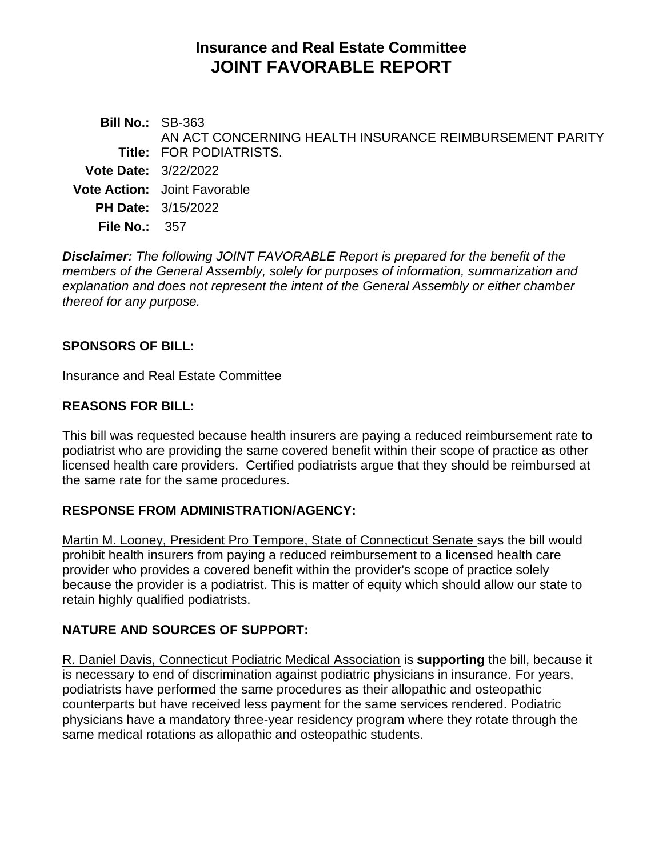# **Insurance and Real Estate Committee JOINT FAVORABLE REPORT**

| <b>Bill No.: SB-363</b>     | AN ACT CONCERNING HEALTH INSURANCE REIMBURSEMENT PARITY |
|-----------------------------|---------------------------------------------------------|
|                             | <b>Title: FOR PODIATRISTS.</b>                          |
| <b>Vote Date: 3/22/2022</b> |                                                         |
|                             | <b>Vote Action:</b> Joint Favorable                     |
|                             | <b>PH Date: 3/15/2022</b>                               |
| File No.: $357$             |                                                         |
|                             |                                                         |

*Disclaimer: The following JOINT FAVORABLE Report is prepared for the benefit of the members of the General Assembly, solely for purposes of information, summarization and explanation and does not represent the intent of the General Assembly or either chamber thereof for any purpose.*

## **SPONSORS OF BILL:**

Insurance and Real Estate Committee

## **REASONS FOR BILL:**

This bill was requested because health insurers are paying a reduced reimbursement rate to podiatrist who are providing the same covered benefit within their scope of practice as other licensed health care providers. Certified podiatrists argue that they should be reimbursed at the same rate for the same procedures.

#### **RESPONSE FROM ADMINISTRATION/AGENCY:**

Martin M. Looney, President Pro Tempore, State of Connecticut Senate says the bill would prohibit health insurers from paying a reduced reimbursement to a licensed health care provider who provides a covered benefit within the provider's scope of practice solely because the provider is a podiatrist. This is matter of equity which should allow our state to retain highly qualified podiatrists.

# **NATURE AND SOURCES OF SUPPORT:**

R. Daniel Davis, Connecticut Podiatric Medical Association is **supporting** the bill, because it is necessary to end of discrimination against podiatric physicians in insurance. For years, podiatrists have performed the same procedures as their allopathic and osteopathic counterparts but have received less payment for the same services rendered. Podiatric physicians have a mandatory three-year residency program where they rotate through the same medical rotations as allopathic and osteopathic students.